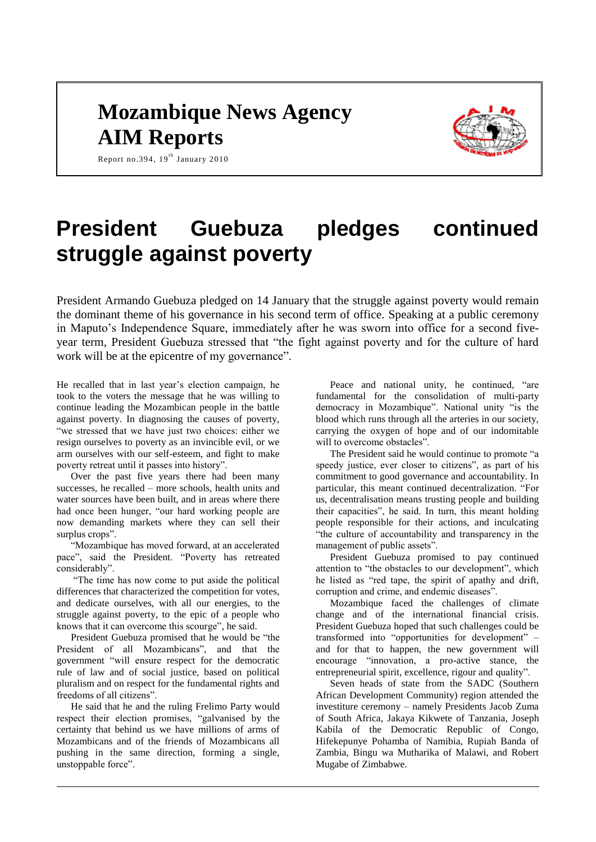# **Mozambique News Agency AIM Reports**



Report no.394,  $19<sup>th</sup>$  January 2010

# **President Guebuza pledges continued struggle against poverty**

President Armando Guebuza pledged on 14 January that the struggle against poverty would remain the dominant theme of his governance in his second term of office. Speaking at a public ceremony in Maputo's Independence Square, immediately after he was sworn into office for a second fiveyear term, President Guebuza stressed that "the fight against poverty and for the culture of hard work will be at the epicentre of my governance".

He recalled that in last year's election campaign, he took to the voters the message that he was willing to continue leading the Mozambican people in the battle against poverty. In diagnosing the causes of poverty, "we stressed that we have just two choices: either we resign ourselves to poverty as an invincible evil, or we arm ourselves with our self-esteem, and fight to make poverty retreat until it passes into history".

Over the past five years there had been many successes, he recalled – more schools, health units and water sources have been built, and in areas where there had once been hunger, "our hard working people are now demanding markets where they can sell their surplus crops".

"Mozambique has moved forward, at an accelerated pace", said the President. "Poverty has retreated considerably".

"The time has now come to put aside the political differences that characterized the competition for votes, and dedicate ourselves, with all our energies, to the struggle against poverty, to the epic of a people who knows that it can overcome this scourge", he said.

President Guebuza promised that he would be "the President of all Mozambicans", and that the government "will ensure respect for the democratic rule of law and of social justice, based on political pluralism and on respect for the fundamental rights and freedoms of all citizens".

He said that he and the ruling Frelimo Party would respect their election promises, "galvanised by the certainty that behind us we have millions of arms of Mozambicans and of the friends of Mozambicans all pushing in the same direction, forming a single, unstoppable force".

Peace and national unity, he continued, "are fundamental for the consolidation of multi-party democracy in Mozambique". National unity "is the blood which runs through all the arteries in our society, carrying the oxygen of hope and of our indomitable will to overcome obstacles".

The President said he would continue to promote "a speedy justice, ever closer to citizens", as part of his commitment to good governance and accountability. In particular, this meant continued decentralization. "For us, decentralisation means trusting people and building their capacities", he said. In turn, this meant holding people responsible for their actions, and inculcating "the culture of accountability and transparency in the management of public assets".

President Guebuza promised to pay continued attention to "the obstacles to our development", which he listed as "red tape, the spirit of apathy and drift, corruption and crime, and endemic diseases".

Mozambique faced the challenges of climate change and of the international financial crisis. President Guebuza hoped that such challenges could be transformed into "opportunities for development" – and for that to happen, the new government will encourage "innovation, a pro-active stance, the entrepreneurial spirit, excellence, rigour and quality".

Seven heads of state from the SADC (Southern African Development Community) region attended the investiture ceremony – namely Presidents Jacob Zuma of South Africa, Jakaya Kikwete of Tanzania, Joseph Kabila of the Democratic Republic of Congo, Hifekepunye Pohamba of Namibia, Rupiah Banda of Zambia, Bingu wa Mutharika of Malawi, and Robert Mugabe of Zimbabwe.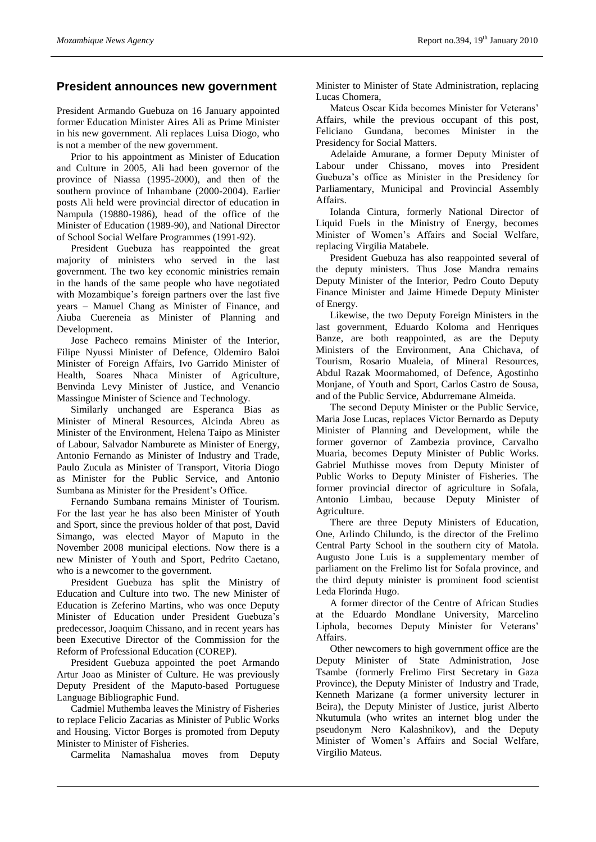#### **President announces new government**

President Armando Guebuza on 16 January appointed former Education Minister Aires Ali as Prime Minister in his new government. Ali replaces Luisa Diogo, who is not a member of the new government.

Prior to his appointment as Minister of Education and Culture in 2005, Ali had been governor of the province of Niassa (1995-2000), and then of the southern province of Inhambane (2000-2004). Earlier posts Ali held were provincial director of education in Nampula (19880-1986), head of the office of the Minister of Education (1989-90), and National Director of School Social Welfare Programmes (1991-92).

President Guebuza has reappointed the great majority of ministers who served in the last government. The two key economic ministries remain in the hands of the same people who have negotiated with Mozambique's foreign partners over the last five years – Manuel Chang as Minister of Finance, and Aiuba Cuereneia as Minister of Planning and Development.

Jose Pacheco remains Minister of the Interior, Filipe Nyussi Minister of Defence, Oldemiro Baloi Minister of Foreign Affairs, Ivo Garrido Minister of Health, Soares Nhaca Minister of Agriculture, Benvinda Levy Minister of Justice, and Venancio Massingue Minister of Science and Technology.

Similarly unchanged are Esperanca Bias as Minister of Mineral Resources, Alcinda Abreu as Minister of the Environment, Helena Taipo as Minister of Labour, Salvador Namburete as Minister of Energy, Antonio Fernando as Minister of Industry and Trade, Paulo Zucula as Minister of Transport, Vitoria Diogo as Minister for the Public Service, and Antonio Sumbana as Minister for the President's Office.

Fernando Sumbana remains Minister of Tourism. For the last year he has also been Minister of Youth and Sport, since the previous holder of that post, David Simango, was elected Mayor of Maputo in the November 2008 municipal elections. Now there is a new Minister of Youth and Sport, Pedrito Caetano, who is a newcomer to the government.

President Guebuza has split the Ministry of Education and Culture into two. The new Minister of Education is Zeferino Martins, who was once Deputy Minister of Education under President Guebuza's predecessor, Joaquim Chissano, and in recent years has been Executive Director of the Commission for the Reform of Professional Education (COREP).

President Guebuza appointed the poet Armando Artur Joao as Minister of Culture. He was previously Deputy President of the Maputo-based Portuguese Language Bibliographic Fund.

Cadmiel Muthemba leaves the Ministry of Fisheries to replace Felicio Zacarias as Minister of Public Works and Housing. Victor Borges is promoted from Deputy Minister to Minister of Fisheries.

Carmelita Namashalua moves from Deputy

Minister to Minister of State Administration, replacing Lucas Chomera,

Mateus Oscar Kida becomes Minister for Veterans' Affairs, while the previous occupant of this post, Feliciano Gundana, becomes Minister in the Presidency for Social Matters.

Adelaide Amurane, a former Deputy Minister of Labour under Chissano, moves into President Guebuza's office as Minister in the Presidency for Parliamentary, Municipal and Provincial Assembly Affairs.

Iolanda Cintura, formerly National Director of Liquid Fuels in the Ministry of Energy, becomes Minister of Women's Affairs and Social Welfare, replacing Virgilia Matabele.

President Guebuza has also reappointed several of the deputy ministers. Thus Jose Mandra remains Deputy Minister of the Interior, Pedro Couto Deputy Finance Minister and Jaime Himede Deputy Minister of Energy.

Likewise, the two Deputy Foreign Ministers in the last government, Eduardo Koloma and Henriques Banze, are both reappointed, as are the Deputy Ministers of the Environment, Ana Chichava, of Tourism, Rosario Mualeia, of Mineral Resources, Abdul Razak Moormahomed, of Defence, Agostinho Monjane, of Youth and Sport, Carlos Castro de Sousa, and of the Public Service, Abdurremane Almeida.

The second Deputy Minister or the Public Service, Maria Jose Lucas, replaces Victor Bernardo as Deputy Minister of Planning and Development, while the former governor of Zambezia province, Carvalho Muaria, becomes Deputy Minister of Public Works. Gabriel Muthisse moves from Deputy Minister of Public Works to Deputy Minister of Fisheries. The former provincial director of agriculture in Sofala, Antonio Limbau, because Deputy Minister of Agriculture.

There are three Deputy Ministers of Education, One, Arlindo Chilundo, is the director of the Frelimo Central Party School in the southern city of Matola. Augusto Jone Luis is a supplementary member of parliament on the Frelimo list for Sofala province, and the third deputy minister is prominent food scientist Leda Florinda Hugo.

A former director of the Centre of African Studies at the Eduardo Mondlane University, Marcelino Liphola, becomes Deputy Minister for Veterans' Affairs.

Other newcomers to high government office are the Deputy Minister of State Administration, Jose Tsambe (formerly Frelimo First Secretary in Gaza Province), the Deputy Minister of Industry and Trade, Kenneth Marizane (a former university lecturer in Beira), the Deputy Minister of Justice, jurist Alberto Nkutumula (who writes an internet blog under the pseudonym Nero Kalashnikov), and the Deputy Minister of Women's Affairs and Social Welfare, Virgilio Mateus.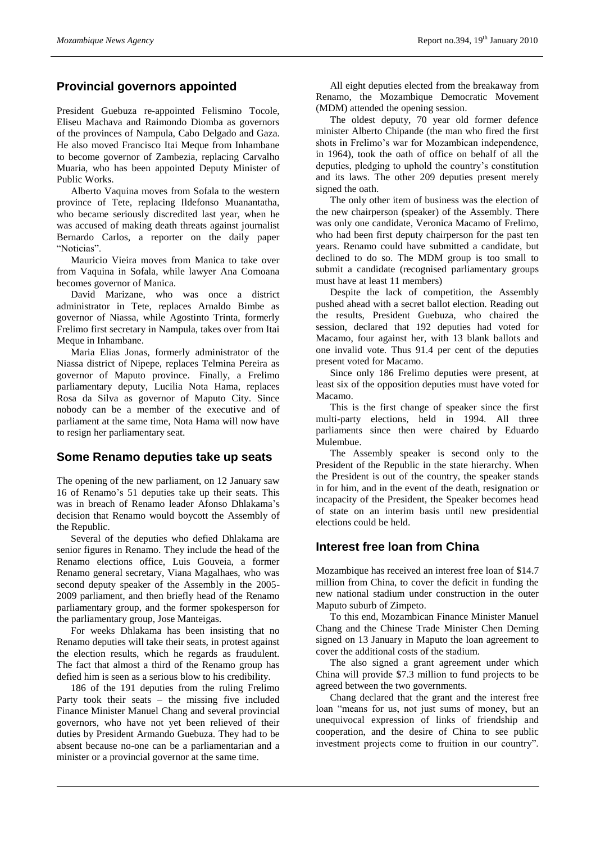# **Provincial governors appointed**

President Guebuza re-appointed Felismino Tocole, Eliseu Machava and Raimondo Diomba as governors of the provinces of Nampula, Cabo Delgado and Gaza. He also moved Francisco Itai Meque from Inhambane to become governor of Zambezia, replacing Carvalho Muaria, who has been appointed Deputy Minister of Public Works.

Alberto Vaquina moves from Sofala to the western province of Tete, replacing Ildefonso Muanantatha, who became seriously discredited last year, when he was accused of making death threats against journalist Bernardo Carlos, a reporter on the daily paper "Noticias".

Mauricio Vieira moves from Manica to take over from Vaquina in Sofala, while lawyer Ana Comoana becomes governor of Manica.

David Marizane, who was once a district administrator in Tete, replaces Arnaldo Bimbe as governor of Niassa, while Agostinto Trinta, formerly Frelimo first secretary in Nampula, takes over from Itai Meque in Inhambane.

Maria Elias Jonas, formerly administrator of the Niassa district of Nipepe, replaces Telmina Pereira as governor of Maputo province. Finally, a Frelimo parliamentary deputy, Lucilia Nota Hama, replaces Rosa da Silva as governor of Maputo City. Since nobody can be a member of the executive and of parliament at the same time, Nota Hama will now have to resign her parliamentary seat.

#### **Some Renamo deputies take up seats**

The opening of the new parliament, on 12 January saw 16 of Renamo's 51 deputies take up their seats. This was in breach of Renamo leader Afonso Dhlakama's decision that Renamo would boycott the Assembly of the Republic.

Several of the deputies who defied Dhlakama are senior figures in Renamo. They include the head of the Renamo elections office, Luis Gouveia, a former Renamo general secretary, Viana Magalhaes, who was second deputy speaker of the Assembly in the 2005- 2009 parliament, and then briefly head of the Renamo parliamentary group, and the former spokesperson for the parliamentary group, Jose Manteigas.

For weeks Dhlakama has been insisting that no Renamo deputies will take their seats, in protest against the election results, which he regards as fraudulent. The fact that almost a third of the Renamo group has defied him is seen as a serious blow to his credibility.

186 of the 191 deputies from the ruling Frelimo Party took their seats – the missing five included Finance Minister Manuel Chang and several provincial governors, who have not yet been relieved of their duties by President Armando Guebuza. They had to be absent because no-one can be a parliamentarian and a minister or a provincial governor at the same time.

All eight deputies elected from the breakaway from Renamo, the Mozambique Democratic Movement (MDM) attended the opening session.

The oldest deputy, 70 year old former defence minister Alberto Chipande (the man who fired the first shots in Frelimo's war for Mozambican independence, in 1964), took the oath of office on behalf of all the deputies, pledging to uphold the country's constitution and its laws. The other 209 deputies present merely signed the oath.

The only other item of business was the election of the new chairperson (speaker) of the Assembly. There was only one candidate, Veronica Macamo of Frelimo, who had been first deputy chairperson for the past ten years. Renamo could have submitted a candidate, but declined to do so. The MDM group is too small to submit a candidate (recognised parliamentary groups must have at least 11 members)

Despite the lack of competition, the Assembly pushed ahead with a secret ballot election. Reading out the results, President Guebuza, who chaired the session, declared that 192 deputies had voted for Macamo, four against her, with 13 blank ballots and one invalid vote. Thus 91.4 per cent of the deputies present voted for Macamo.

Since only 186 Frelimo deputies were present, at least six of the opposition deputies must have voted for Macamo.

This is the first change of speaker since the first multi-party elections, held in 1994. All three parliaments since then were chaired by Eduardo Mulembue.

The Assembly speaker is second only to the President of the Republic in the state hierarchy. When the President is out of the country, the speaker stands in for him, and in the event of the death, resignation or incapacity of the President, the Speaker becomes head of state on an interim basis until new presidential elections could be held.

### **Interest free loan from China**

Mozambique has received an interest free loan of \$14.7 million from China, to cover the deficit in funding the new national stadium under construction in the outer Maputo suburb of Zimpeto.

To this end, Mozambican Finance Minister Manuel Chang and the Chinese Trade Minister Chen Deming signed on 13 January in Maputo the loan agreement to cover the additional costs of the stadium.

The also signed a grant agreement under which China will provide \$7.3 million to fund projects to be agreed between the two governments.

Chang declared that the grant and the interest free loan "means for us, not just sums of money, but an unequivocal expression of links of friendship and cooperation, and the desire of China to see public investment projects come to fruition in our country".